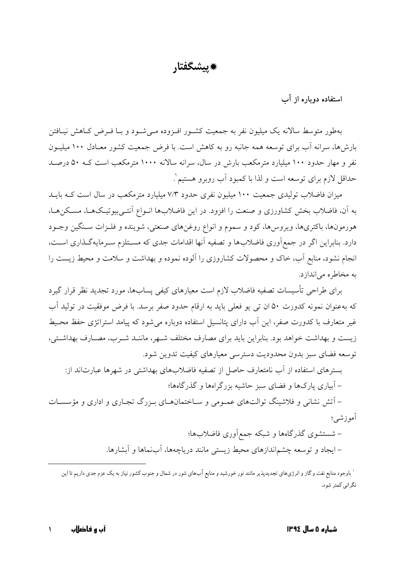**-**

## استفاده دوباره از اب

بهطور متوسط سالانه یک میلیون نفر به جمعیت کشـور افـزوده مـیشـود و بـا فـرض کــاهش نیــافتن بارشها، سرانه اب برای توسعه همه جانبه رو به کاهش است. با فرض جمعیت کشور معـادل ۱۰۰ میلیــون نفر و مهار حدود ۱۰۰ میلیارد مترمکعب بارش در سال، سرانه سالانه ۱۰۰۰ مترمکعب است کــه ۵۰ درصــد حداقل لازم برای توسعه است و لذا با کمبود آب روبرو هستیم ٰ .

میزان فاضلاب تولیدی جمعیت ۱۰۰ میلیون نفری حدود ۷/۳ میلیارد مترمکعب در سال است کــه بایــد به ان، فاضلاب بخش کشاورزی و صنعت را افزود. در این فاضلابها انــواع انتــیبیوتیــکـهــا، مســکن&ــا، هورمونها، باکتریها، ویروسها، کود و سموم و انواع روغنهای صنعتی، شوینده و فلـزات ســنگین وجــود دارد. بنابراین اگر در جمع|وری فاضلابها و تصفیه انها اقدامات جدی که مسـتلزم سـرمایهگـذاری اســت، انجام نشود، منابع اب، خاک و محصولات کشاروزی را الوده نموده و بهداشت و سلامت و محیط زیست را به مخاطره می اندازد.

برای طراحی تاسیسات تصفیه فاضلاب لازم است معیارهای کیفی پسابها، مورد تجدید نظر قرار گیرد که بهعنوان نمونه کدورت ۵۰ ان ت<sub>ی</sub> یو فعلی باید به ارقام حدود صفر برسد. با فرض موفقیت در تولید اب غیر متعارف با کدورت صفر، این اب دارای پتانسیل استفاده دوباره میشود که پیامد استراتژی حفظ محـیط زیست و بهداشت خواهد بود. بنابراین باید برای مصارف مختلف شـهر، ماننــد شــرب، مصــارف بهداشــتی، توسعه فضای سبز بدون محدودیت دسترسی معیارهای کیفیت تدوین شود.

بسترهای استفاده از اب نامتعارف حاصل از تصفیه فاضلابهای بهداشتی در شهرها عبارتاند از: – ابیاری پارکھا و فضای سبز حاشیه بزرگراهها و گذرگاهها؛

– اتش نشانی و فلاشینگ توالتهای عمـومی و سـاختمانهــای بــزرگ تجــاری و اداری و مؤسســات أموزشي؛

> – شستشوی گذرگاهها و شبکه جمع|وری فاضلابها؛ – ایجاد و توسعه چشم|ندازهای محیط زیستی مانند دریاچهها، ابنماها و ابشارها.

<sup>۱</sup> باوجود منابع نفت و گاز و انرژیهای تجدیدپذیر مانند نور خورشید و منابع آبهای شور در شمال و جنوب کشور نیاز به یک عزم جدی داریم تا این نگراني كمتر شود.